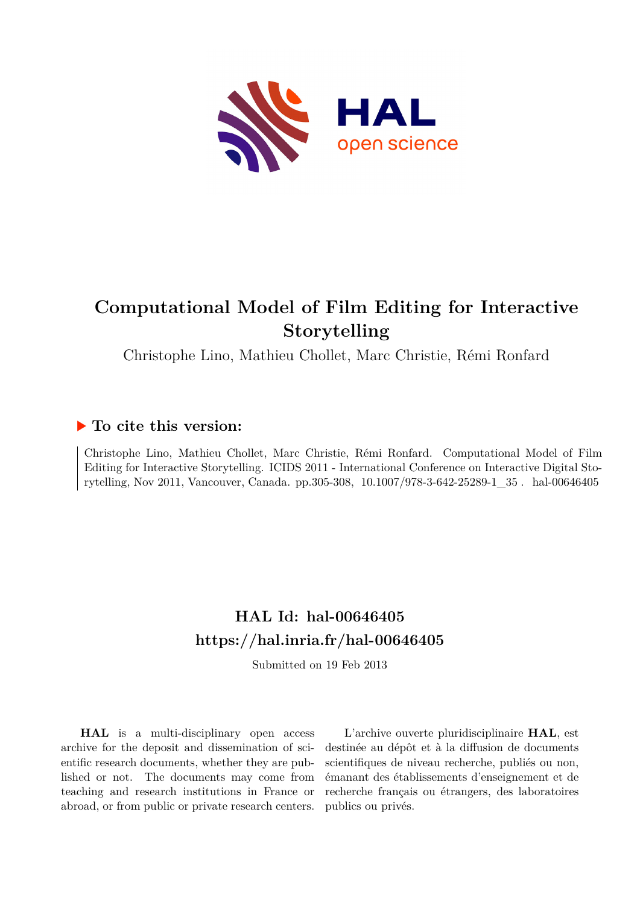

# **Computational Model of Film Editing for Interactive Storytelling**

Christophe Lino, Mathieu Chollet, Marc Christie, Rémi Ronfard

# **To cite this version:**

Christophe Lino, Mathieu Chollet, Marc Christie, Rémi Ronfard. Computational Model of Film Editing for Interactive Storytelling. ICIDS 2011 - International Conference on Interactive Digital Storytelling, Nov 2011, Vancouver, Canada. pp.305-308, 10.1007/978-3-642-25289-1\_35. hal-00646405

# **HAL Id: hal-00646405 <https://hal.inria.fr/hal-00646405>**

Submitted on 19 Feb 2013

**HAL** is a multi-disciplinary open access archive for the deposit and dissemination of scientific research documents, whether they are published or not. The documents may come from teaching and research institutions in France or abroad, or from public or private research centers.

L'archive ouverte pluridisciplinaire **HAL**, est destinée au dépôt et à la diffusion de documents scientifiques de niveau recherche, publiés ou non, émanant des établissements d'enseignement et de recherche français ou étrangers, des laboratoires publics ou privés.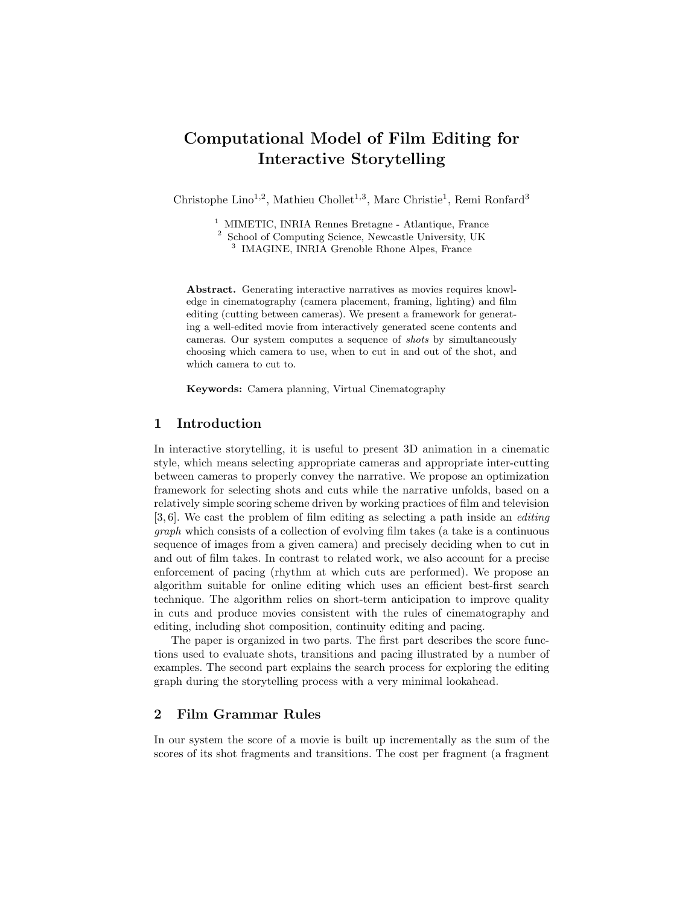# Computational Model of Film Editing for Interactive Storytelling

Christophe Lino<sup>1,2</sup>, Mathieu Chollet<sup>1,3</sup>, Marc Christie<sup>1</sup>, Remi Ronfard<sup>3</sup>

<sup>1</sup> MIMETIC, INRIA Rennes Bretagne - Atlantique, France

<sup>2</sup> School of Computing Science, Newcastle University, UK

3 IMAGINE, INRIA Grenoble Rhone Alpes, France

Abstract. Generating interactive narratives as movies requires knowledge in cinematography (camera placement, framing, lighting) and film editing (cutting between cameras). We present a framework for generating a well-edited movie from interactively generated scene contents and cameras. Our system computes a sequence of shots by simultaneously choosing which camera to use, when to cut in and out of the shot, and which camera to cut to.

Keywords: Camera planning, Virtual Cinematography

# 1 Introduction

In interactive storytelling, it is useful to present 3D animation in a cinematic style, which means selecting appropriate cameras and appropriate inter-cutting between cameras to properly convey the narrative. We propose an optimization framework for selecting shots and cuts while the narrative unfolds, based on a relatively simple scoring scheme driven by working practices of film and television [3, 6]. We cast the problem of film editing as selecting a path inside an *editing* graph which consists of a collection of evolving film takes (a take is a continuous sequence of images from a given camera) and precisely deciding when to cut in and out of film takes. In contrast to related work, we also account for a precise enforcement of pacing (rhythm at which cuts are performed). We propose an algorithm suitable for online editing which uses an efficient best-first search technique. The algorithm relies on short-term anticipation to improve quality in cuts and produce movies consistent with the rules of cinematography and editing, including shot composition, continuity editing and pacing.

The paper is organized in two parts. The first part describes the score functions used to evaluate shots, transitions and pacing illustrated by a number of examples. The second part explains the search process for exploring the editing graph during the storytelling process with a very minimal lookahead.

### 2 Film Grammar Rules

In our system the score of a movie is built up incrementally as the sum of the scores of its shot fragments and transitions. The cost per fragment (a fragment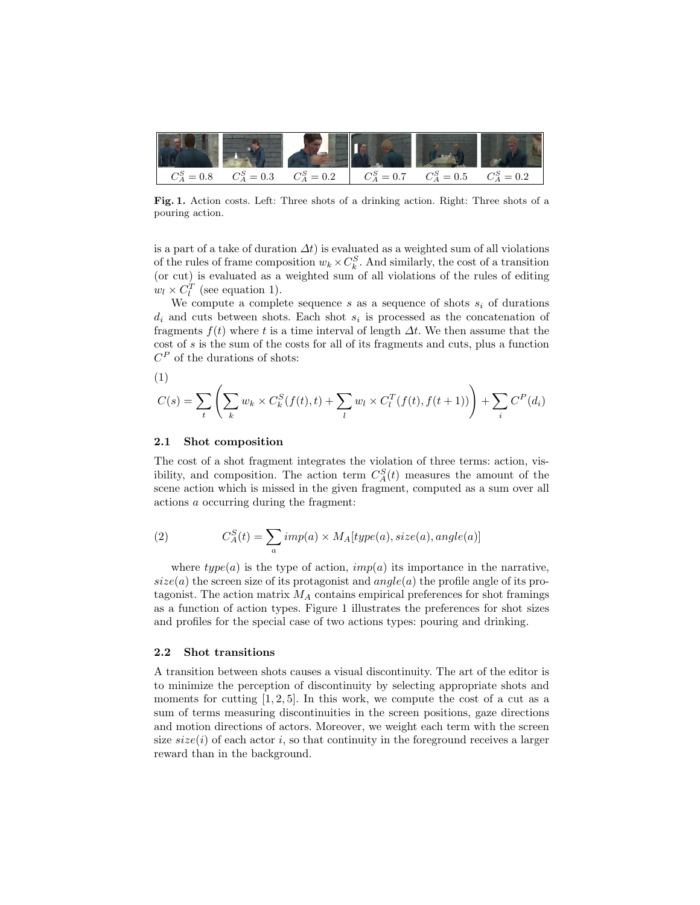

Fig. 1. Action costs. Left: Three shots of a drinking action. Right: Three shots of a pouring action.

is a part of a take of duration  $\Delta t$ ) is evaluated as a weighted sum of all violations of the rules of frame composition  $w_k \times C_k^S$ . And similarly, the cost of a transition (or cut) is evaluated as a weighted sum of all violations of the rules of editing  $w_l \times C_l^T$  (see equation 1).

We compute a complete sequence s as a sequence of shots  $s_i$  of durations  $d_i$  and cuts between shots. Each shot  $s_i$  is processed as the concatenation of fragments  $f(t)$  where t is a time interval of length  $\Delta t$ . We then assume that the cost of s is the sum of the costs for all of its fragments and cuts, plus a function  $C^P$  of the durations of shots:

$$
(1)\\
$$

$$
C(s) = \sum_{t} \left( \sum_{k} w_k \times C_k^S(f(t), t) + \sum_{l} w_l \times C_l^T(f(t), f(t+1)) \right) + \sum_{i} C^P(d_i)
$$

#### 2.1 Shot composition

The cost of a shot fragment integrates the violation of three terms: action, visibility, and composition. The action term  $C_A^S(t)$  measures the amount of the scene action which is missed in the given fragment, computed as a sum over all actions a occurring during the fragment:

(2) 
$$
C_A^S(t) = \sum_a imp(a) \times M_A[type(a), size(a), angle(a)]
$$

where  $type(a)$  is the type of action,  $imp(a)$  its importance in the narrative,  $size(a)$  the screen size of its protagonist and  $angle(a)$  the profile angle of its protagonist. The action matrix  $M_A$  contains empirical preferences for shot framings as a function of action types. Figure 1 illustrates the preferences for shot sizes and profiles for the special case of two actions types: pouring and drinking.

#### 2.2 Shot transitions

A transition between shots causes a visual discontinuity. The art of the editor is to minimize the perception of discontinuity by selecting appropriate shots and moments for cutting  $[1, 2, 5]$ . In this work, we compute the cost of a cut as a sum of terms measuring discontinuities in the screen positions, gaze directions and motion directions of actors. Moreover, we weight each term with the screen size  $size(i)$  of each actor i, so that continuity in the foreground receives a larger reward than in the background.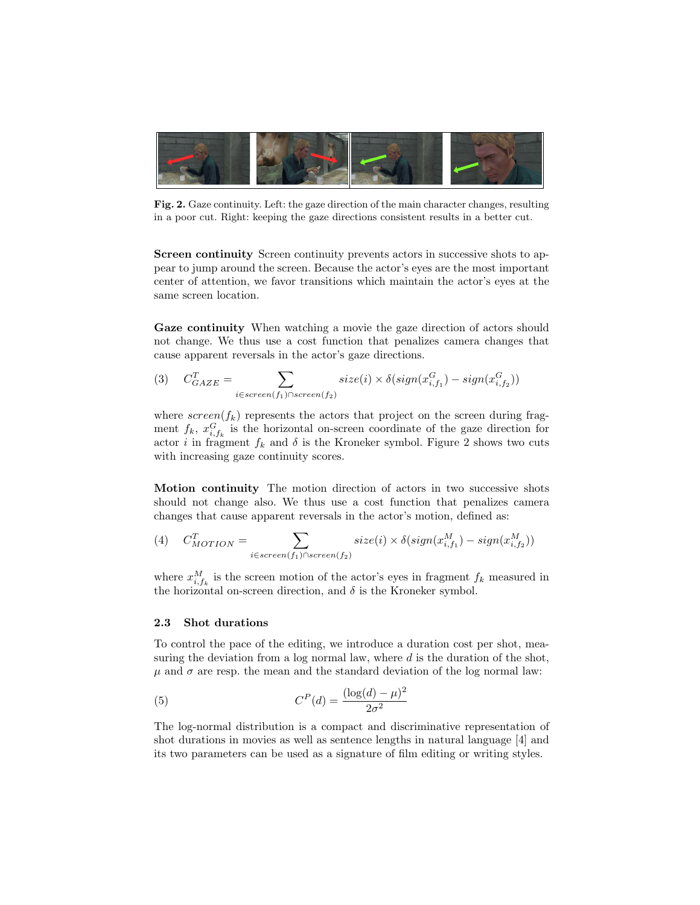

Fig. 2. Gaze continuity. Left: the gaze direction of the main character changes, resulting in a poor cut. Right: keeping the gaze directions consistent results in a better cut.

Screen continuity Screen continuity prevents actors in successive shots to appear to jump around the screen. Because the actor's eyes are the most important center of attention, we favor transitions which maintain the actor's eyes at the same screen location.

Gaze continuity When watching a movie the gaze direction of actors should not change. We thus use a cost function that penalizes camera changes that cause apparent reversals in the actor's gaze directions.

$$
(3) \quad C_{GAZE}^T = \sum_{i \in screen(f_1) \cap screen(f_2)} size(i) \times \delta(sign(x_{i,f_1}^G) - sign(x_{i,f_2}^G))
$$

where  $screen(f_k)$  represents the actors that project on the screen during fragment  $f_k$ ,  $x_{i,f_k}^G$  is the horizontal on-screen coordinate of the gaze direction for actor *i* in fragment  $f_k$  and  $\delta$  is the Kroneker symbol. Figure 2 shows two cuts with increasing gaze continuity scores.

Motion continuity The motion direction of actors in two successive shots should not change also. We thus use a cost function that penalizes camera changes that cause apparent reversals in the actor's motion, defined as:

(4) 
$$
C_{MOTION}^T = \sum_{i \in screen(f_1) \cap screen(f_2)} size(i) \times \delta(sign(x_{i,f_1}^M) - sign(x_{i,f_2}^M))
$$

where  $x_{i,f_k}^M$  is the screen motion of the actor's eyes in fragment  $f_k$  measured in the horizontal on-screen direction, and  $\delta$  is the Kroneker symbol.

#### 2.3 Shot durations

To control the pace of the editing, we introduce a duration cost per shot, measuring the deviation from a log normal law, where  $d$  is the duration of the shot,  $\mu$  and  $\sigma$  are resp. the mean and the standard deviation of the log normal law:

(5) 
$$
C^{P}(d) = \frac{(\log(d) - \mu)^{2}}{2\sigma^{2}}
$$

The log-normal distribution is a compact and discriminative representation of shot durations in movies as well as sentence lengths in natural language [4] and its two parameters can be used as a signature of film editing or writing styles.